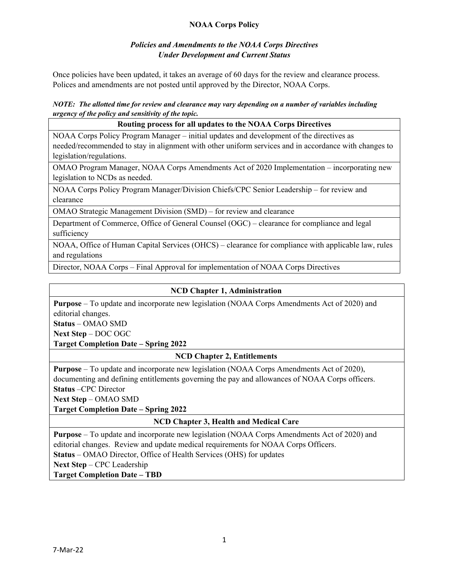# **NOAA Corps Policy**

# *Policies and Amendments to the NOAA Corps Directives Under Development and Current Status*

Once policies have been updated, it takes an average of 60 days for the review and clearance process. Polices and amendments are not posted until approved by the Director, NOAA Corps.

#### *NOTE: The allotted time for review and clearance may vary depending on a number of variables including urgency of the policy and sensitivity of the topic.*

# **Routing process for all updates to the NOAA Corps Directives** NOAA Corps Policy Program Manager – initial updates and development of the directives as needed/recommended to stay in alignment with other uniform services and in accordance with changes to legislation/regulations. OMAO Program Manager, NOAA Corps Amendments Act of 2020 Implementation – incorporating new legislation to NCDs as needed.

NOAA Corps Policy Program Manager/Division Chiefs/CPC Senior Leadership – for review and clearance

OMAO Strategic Management Division (SMD) – for review and clearance

Department of Commerce, Office of General Counsel (OGC) – clearance for compliance and legal sufficiency

NOAA, Office of Human Capital Services (OHCS) – clearance for compliance with applicable law, rules and regulations

Director, NOAA Corps – Final Approval for implementation of NOAA Corps Directives

# **NCD Chapter 1, Administration**

**Purpose** – To update and incorporate new legislation (NOAA Corps Amendments Act of 2020) and editorial changes.

**Status** – OMAO SMD

**Next Step** – DOC OGC

**Target Completion Date – Spring 2022**

# **NCD Chapter 2, Entitlements**

**Purpose** – To update and incorporate new legislation (NOAA Corps Amendments Act of 2020), documenting and defining entitlements governing the pay and allowances of NOAA Corps officers. **Status** –CPC Director

**Next Step** – OMAO SMD

**Target Completion Date – Spring 2022**

# **NCD Chapter 3, Health and Medical Care**

**Purpose** – To update and incorporate new legislation (NOAA Corps Amendments Act of 2020) and editorial changes. Review and update medical requirements for NOAA Corps Officers. **Status** – OMAO Director, Office of Health Services (OHS) for updates **Next Step** – CPC Leadership

**Target Completion Date – TBD**